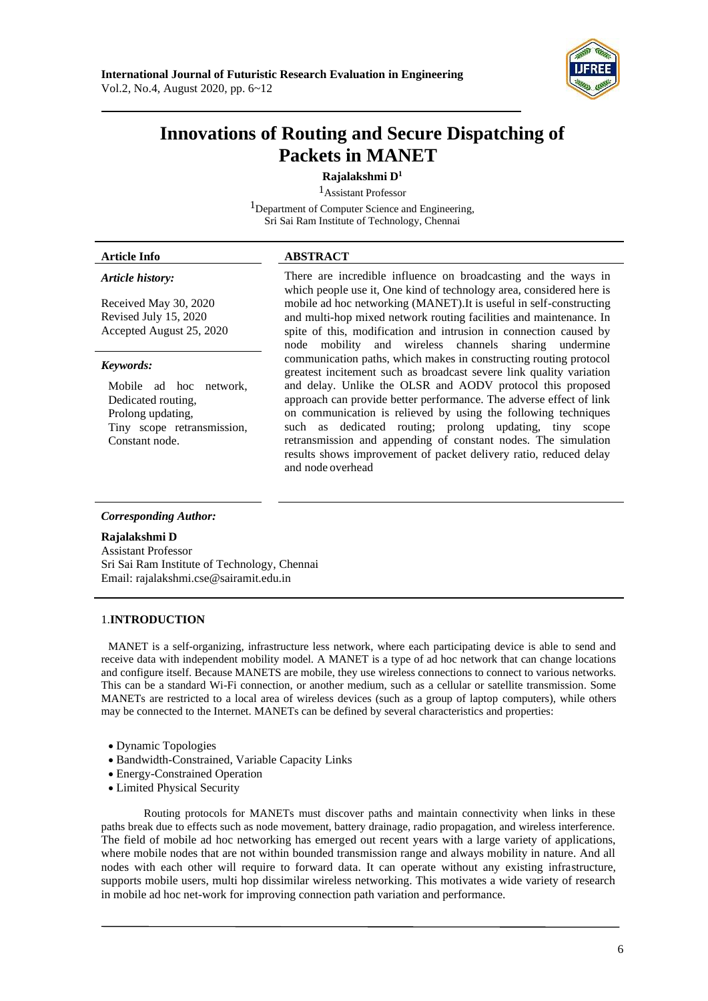

# **Innovations of Routing and Secure Dispatching of Packets in MANET**

# **Rajalakshmi D<sup>1</sup>**

1Assistant Professor <sup>1</sup>Department of Computer Science and Engineering,

Sri Sai Ram Institute of Technology, Chennai

### **Article Info ABSTRACT**

#### *Article history:*

Received May 30, 2020 Revised July 15, 2020 Accepted August 25, 2020

#### *Keywords:*

Mobile ad hoc network, Dedicated routing, Prolong updating, Tiny scope retransmission, Constant node.

There are incredible influence on broadcasting and the ways in which people use it, One kind of technology area, considered here is mobile ad hoc networking (MANET).It is useful in self-constructing and multi-hop mixed network routing facilities and maintenance. In spite of this, modification and intrusion in connection caused by node mobility and wireless channels sharing undermine communication paths, which makes in constructing routing protocol greatest incitement such as broadcast severe link quality variation and delay. Unlike the OLSR and AODV protocol this proposed approach can provide better performance. The adverse effect of link on communication is relieved by using the following techniques such as dedicated routing; prolong updating, tiny scope retransmission and appending of constant nodes. The simulation results shows improvement of packet delivery ratio, reduced delay and node overhead

#### *Corresponding Author:*

#### **Rajalakshmi D**

Assistant Professor Sri Sai Ram Institute of Technology, Chennai Email: [rajalakshmi.cse@sairamit.edu.in](mailto:rajalakshmi.cse@sairamit.edu.in)

# 1.**INTRODUCTION**

MANET is a self-organizing, infrastructure less network, where each participating device is able to send and receive data with independent mobility model. A MANET is a type of ad hoc network that can change locations and configure itself. Because MANETS are mobile, they use wireless connections to connect to various networks. This can be a standard Wi-Fi connection, or another medium, such as a cellular or satellite transmission. Some MANETs are restricted to a local area of wireless devices (such as a group of laptop computers), while others may be connected to the Internet. MANETs can be defined by several characteristics and properties:

- Dynamic Topologies
- Bandwidth-Constrained, Variable Capacity Links
- Energy-Constrained Operation
- Limited Physical Security

Routing protocols for MANETs must discover paths and maintain connectivity when links in these paths break due to effects such as node movement, battery drainage, radio propagation, and wireless interference. The field of mobile ad hoc networking has emerged out recent years with a large variety of applications, where mobile nodes that are not within bounded transmission range and always mobility in nature. And all nodes with each other will require to forward data. It can operate without any existing infrastructure, supports mobile users, multi hop dissimilar wireless networking. This motivates a wide variety of research in mobile ad hoc net-work for improving connection path variation and performance.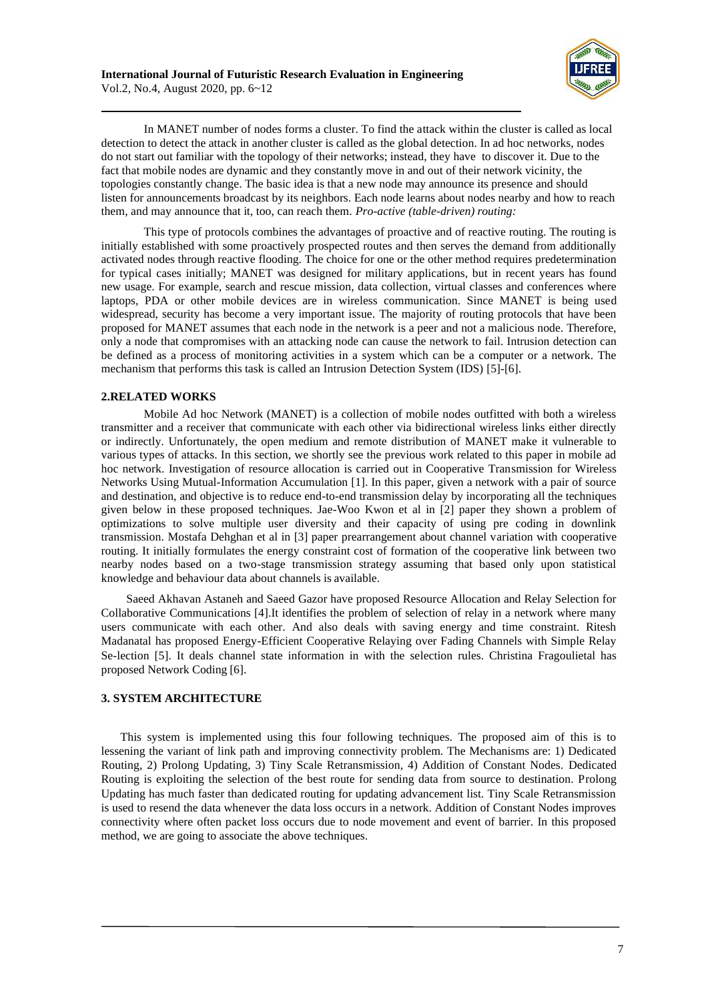

In MANET number of nodes forms a cluster. To find the attack within the cluster is called as local detection to detect the attack in another cluster is called as the global detection. In ad hoc networks, nodes do not start out familiar with the topology of their networks; instead, they have to discover it. Due to the fact that mobile nodes are dynamic and they constantly move in and out of their network vicinity, the topologies constantly change. The basic idea is that a new node may announce its presence and should listen for announcements broadcast by its neighbors. Each node learns about nodes nearby and how to reach them, and may announce that it, too, can reach them. *Pro-active (table-driven) routing:*

This type of protocols combines the advantages of proactive and of reactive routing. The routing is initially established with some proactively prospected routes and then serves the demand from additionally activated nodes through reactive flooding. The choice for one or the other method requires predetermination for typical cases initially; MANET was designed for military applications, but in recent years has found new usage. For example, search and rescue mission, data collection, virtual classes and conferences where laptops, PDA or other mobile devices are in wireless communication. Since MANET is being used widespread, security has become a very important issue. The majority of routing protocols that have been proposed for MANET assumes that each node in the network is a peer and not a malicious node. Therefore, only a node that compromises with an attacking node can cause the network to fail. Intrusion detection can be defined as a process of monitoring activities in a system which can be a computer or a network. The mechanism that performs this task is called an Intrusion Detection System (IDS) [5]-[6].

# **2.RELATED WORKS**

Mobile Ad hoc Network (MANET) is a collection of mobile nodes outfitted with both a wireless transmitter and a receiver that communicate with each other via bidirectional wireless links either directly or indirectly. Unfortunately, the open medium and remote distribution of MANET make it vulnerable to various types of attacks. In this section, we shortly see the previous work related to this paper in mobile ad hoc network. Investigation of resource allocation is carried out in Cooperative Transmission for Wireless Networks Using Mutual-Information Accumulation [1]. In this paper, given a network with a pair of source and destination, and objective is to reduce end-to-end transmission delay by incorporating all the techniques given below in these proposed techniques. Jae-Woo Kwon et al in [2] paper they shown a problem of optimizations to solve multiple user diversity and their capacity of using pre coding in downlink transmission. Mostafa Dehghan et al in [3] paper prearrangement about channel variation with cooperative routing. It initially formulates the energy constraint cost of formation of the cooperative link between two nearby nodes based on a two-stage transmission strategy assuming that based only upon statistical knowledge and behaviour data about channels is available.

Saeed Akhavan Astaneh and Saeed Gazor have proposed Resource Allocation and Relay Selection for Collaborative Communications [4].It identifies the problem of selection of relay in a network where many users communicate with each other. And also deals with saving energy and time constraint. Ritesh Madanatal has proposed Energy-Efficient Cooperative Relaying over Fading Channels with Simple Relay Se-lection [5]. It deals channel state information in with the selection rules. Christina Fragoulietal has proposed Network Coding [6].

#### **3. SYSTEM ARCHITECTURE**

This system is implemented using this four following techniques. The proposed aim of this is to lessening the variant of link path and improving connectivity problem. The Mechanisms are: 1) Dedicated Routing, 2) Prolong Updating, 3) Tiny Scale Retransmission, 4) Addition of Constant Nodes. Dedicated Routing is exploiting the selection of the best route for sending data from source to destination. Prolong Updating has much faster than dedicated routing for updating advancement list. Tiny Scale Retransmission is used to resend the data whenever the data loss occurs in a network. Addition of Constant Nodes improves connectivity where often packet loss occurs due to node movement and event of barrier. In this proposed method, we are going to associate the above techniques.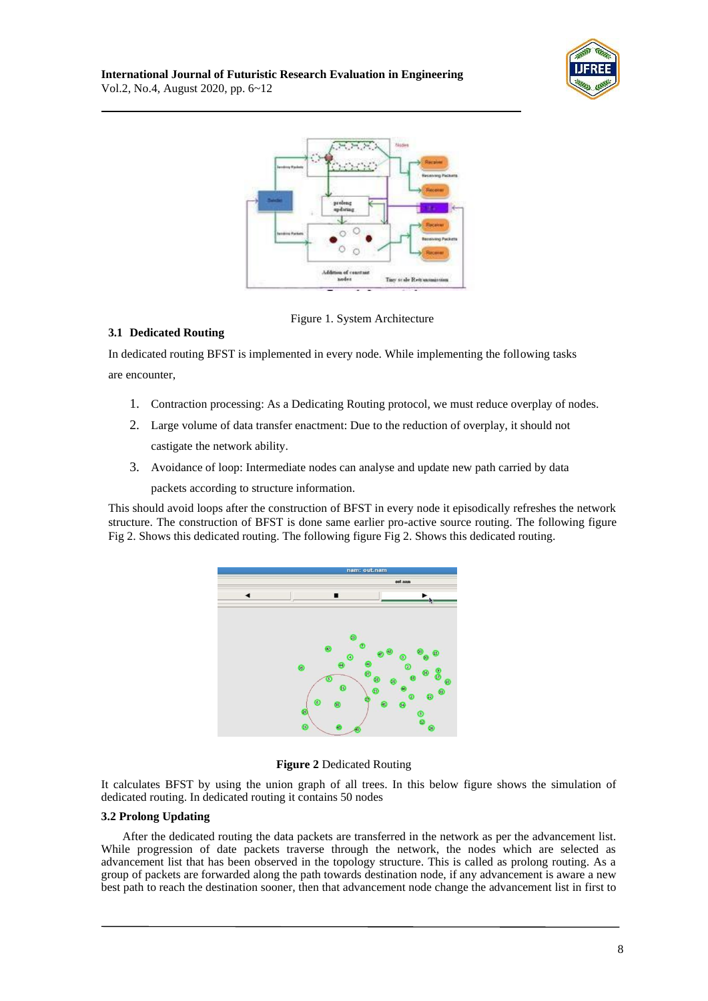



Figure 1. System Architecture

# **3.1 Dedicated Routing**

In dedicated routing BFST is implemented in every node. While implementing the following tasks are encounter,

- 1. Contraction processing: As a Dedicating Routing protocol, we must reduce overplay of nodes.
- 2. Large volume of data transfer enactment: Due to the reduction of overplay, it should not castigate the network ability.
- 3. Avoidance of loop: Intermediate nodes can analyse and update new path carried by data packets according to structure information.

This should avoid loops after the construction of BFST in every node it episodically refreshes the network structure. The construction of BFST is done same earlier pro-active source routing. The following figure Fig 2. Shows this dedicated routing. The following figure Fig 2. Shows this dedicated routing.



#### **Figure 2** Dedicated Routing

It calculates BFST by using the union graph of all trees. In this below figure shows the simulation of dedicated routing. In dedicated routing it contains 50 nodes

#### **3.2 Prolong Updating**

After the dedicated routing the data packets are transferred in the network as per the advancement list. While progression of date packets traverse through the network, the nodes which are selected as advancement list that has been observed in the topology structure. This is called as prolong routing. As a group of packets are forwarded along the path towards destination node, if any advancement is aware a new best path to reach the destination sooner, then that advancement node change the advancement list in first to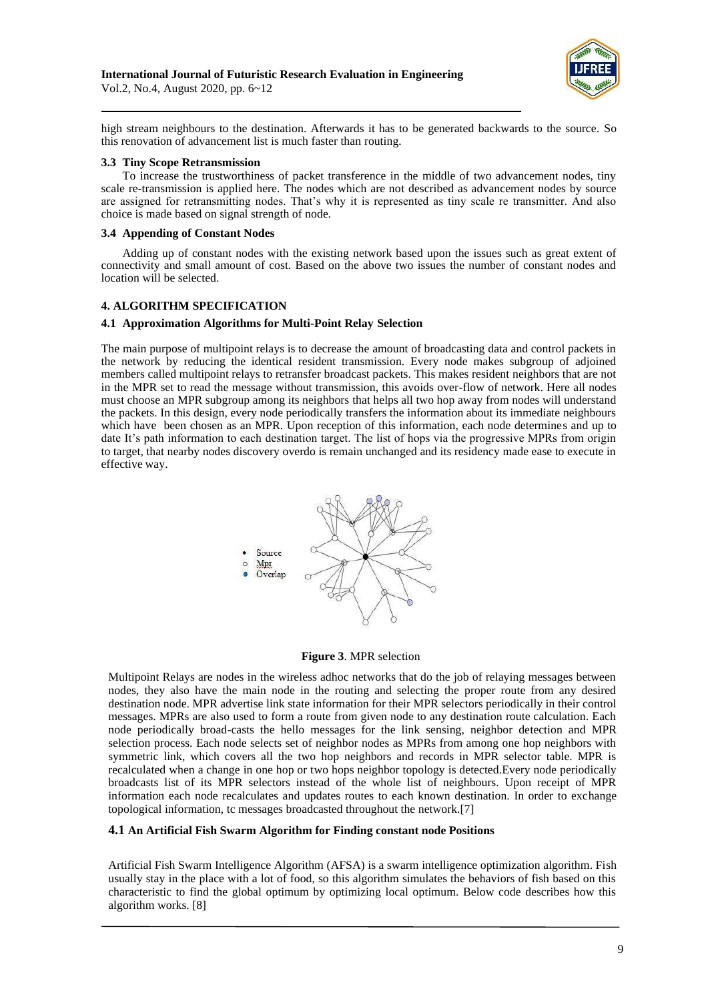

high stream neighbours to the destination. Afterwards it has to be generated backwards to the source. So this renovation of advancement list is much faster than routing.

#### **3.3 Tiny Scope Retransmission**

To increase the trustworthiness of packet transference in the middle of two advancement nodes, tiny scale re-transmission is applied here. The nodes which are not described as advancement nodes by source are assigned for retransmitting nodes. That's why it is represented as tiny scale re transmitter. And also choice is made based on signal strength of node.

#### **3.4 Appending of Constant Nodes**

Adding up of constant nodes with the existing network based upon the issues such as great extent of connectivity and small amount of cost. Based on the above two issues the number of constant nodes and location will be selected.

#### **4. ALGORITHM SPECIFICATION**

#### **4.1 Approximation Algorithms for Multi-Point Relay Selection**

The main purpose of multipoint relays is to decrease the amount of broadcasting data and control packets in the network by reducing the identical resident transmission. Every node makes subgroup of adjoined members called multipoint relays to retransfer broadcast packets. This makes resident neighbors that are not in the MPR set to read the message without transmission, this avoids over-flow of network. Here all nodes must choose an MPR subgroup among its neighbors that helps all two hop away from nodes will understand the packets. In this design, every node periodically transfers the information about its immediate neighbours which have been chosen as an MPR. Upon reception of this information, each node determines and up to date It's path information to each destination target. The list of hops via the progressive MPRs from origin to target, that nearby nodes discovery overdo is remain unchanged and its residency made ease to execute in effective way.





Multipoint Relays are nodes in the wireless adhoc networks that do the job of relaying messages between nodes, they also have the main node in the routing and selecting the proper route from any desired destination node. MPR advertise link state information for their MPR selectors periodically in their control messages. MPRs are also used to form a route from given node to any destination route calculation. Each node periodically broad-casts the hello messages for the link sensing, neighbor detection and MPR selection process. Each node selects set of neighbor nodes as MPRs from among one hop neighbors with symmetric link, which covers all the two hop neighbors and records in MPR selector table. MPR is recalculated when a change in one hop or two hops neighbor topology is detected.Every node periodically broadcasts list of its MPR selectors instead of the whole list of neighbours. Upon receipt of MPR information each node recalculates and updates routes to each known destination. In order to exchange topological information, tc messages broadcasted throughout the network.[7]

#### **4.1 An Artificial Fish Swarm Algorithm for Finding constant node Positions**

Artificial Fish Swarm Intelligence Algorithm (AFSA) is a swarm intelligence optimization algorithm. Fish usually stay in the place with a lot of food, so this algorithm simulates the behaviors of fish based on this characteristic to find the global optimum by optimizing local optimum. Below code describes how this algorithm works. [8]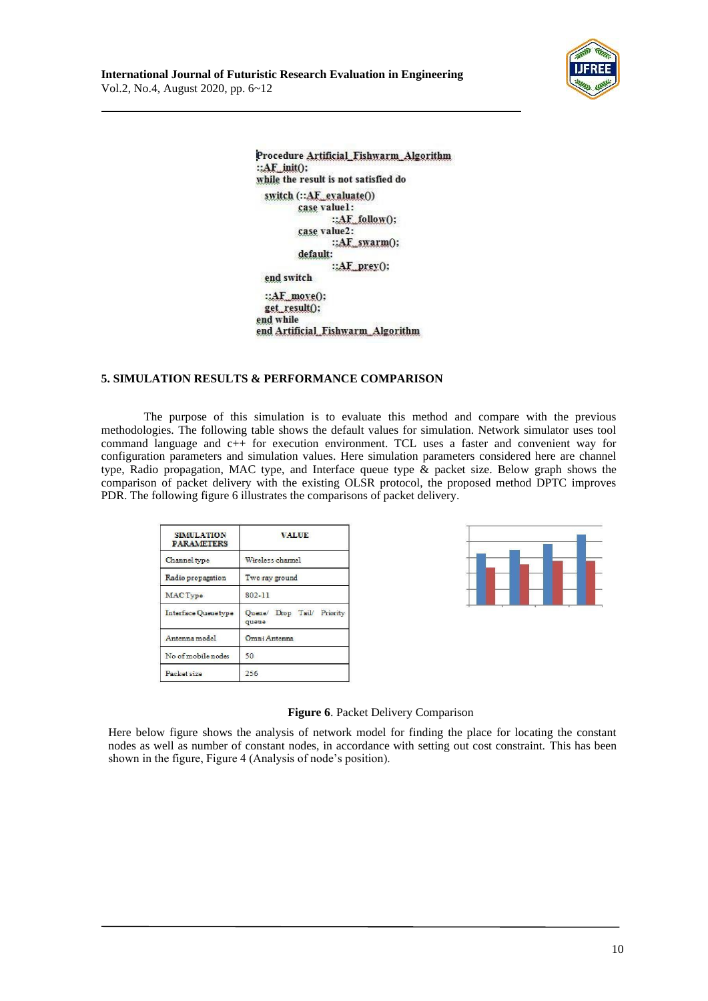



Procedure Artificial Fishwarm Algorithm  $::AF$  init(); while the result is not satisfied do switch (::AF\_exaluate()) case valuel: ::AF\_follow(); case value2:  $::AF$  swarm $()$ ; default: ::AF\_prey(); end switch ::AF\_move(); get result(); end while end Artificial Fishwarm Algorithm

# **5. SIMULATION RESULTS & PERFORMANCE COMPARISON**

The purpose of this simulation is to evaluate this method and compare with the previous methodologies. The following table shows the default values for simulation. Network simulator uses tool command language and c++ for execution environment. TCL uses a faster and convenient way for configuration parameters and simulation values. Here simulation parameters considered here are channel type, Radio propagation, MAC type, and Interface queue type & packet size. Below graph shows the comparison of packet delivery with the existing OLSR protocol, the proposed method DPTC improves PDR. The following figure 6 illustrates the comparisons of packet delivery.

| <b>SIMILATION</b><br><b>PARAMETERS</b> | <b>VALUE</b>                        |
|----------------------------------------|-------------------------------------|
| Channel type                           | Wireless channel                    |
| Radio propagation                      | Two ray ground                      |
| MAC Type                               | 802-11                              |
| Interface Queue type                   | Queue/ Drop Tail/ Priority<br>queue |
| Antenna model                          | Omni Antenna                        |
| No of mobile nodes                     | 50                                  |
| Packet size                            | 256                                 |



#### **Figure 6**. Packet Delivery Comparison

Here below figure shows the analysis of network model for finding the place for locating the constant nodes as well as number of constant nodes, in accordance with setting out cost constraint. This has been shown in the figure, Figure 4 (Analysis of node's position).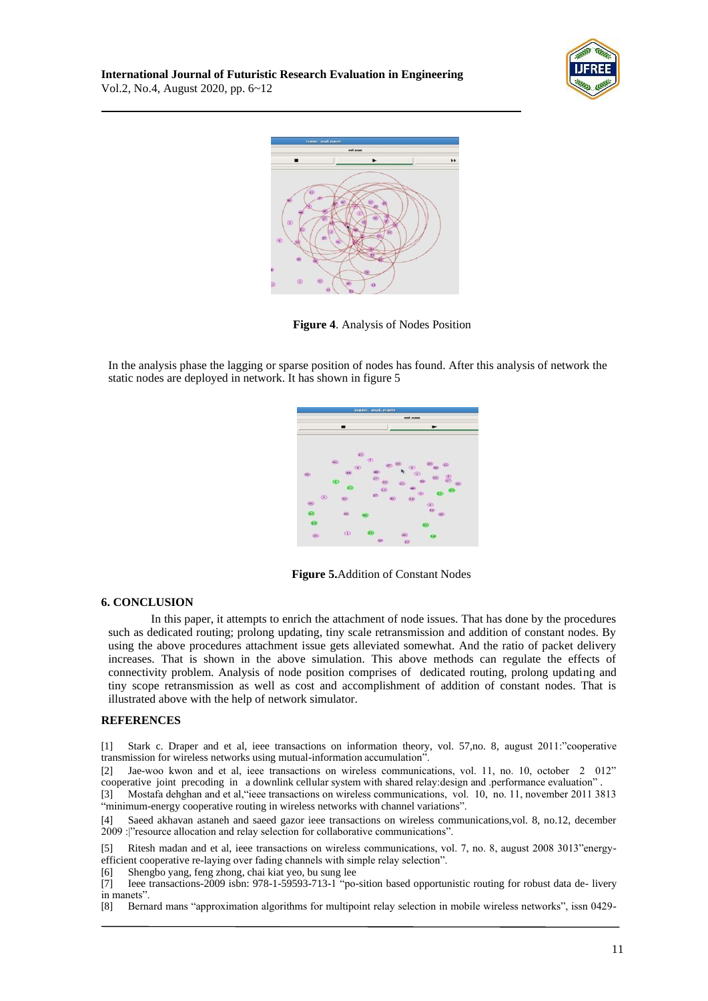



**Figure 4**. Analysis of Nodes Position

In the analysis phase the lagging or sparse position of nodes has found. After this analysis of network the static nodes are deployed in network. It has shown in figure 5



**Figure 5.**Addition of Constant Nodes

#### **6. CONCLUSION**

In this paper, it attempts to enrich the attachment of node issues. That has done by the procedures such as dedicated routing; prolong updating, tiny scale retransmission and addition of constant nodes. By using the above procedures attachment issue gets alleviated somewhat. And the ratio of packet delivery increases. That is shown in the above simulation. This above methods can regulate the effects of connectivity problem. Analysis of node position comprises of dedicated routing, prolong updating and tiny scope retransmission as well as cost and accomplishment of addition of constant nodes. That is illustrated above with the help of network simulator.

#### **REFERENCES**

[1] Stark c. Draper and et al, ieee transactions on information theory, vol. 57,no. 8, august 2011:"cooperative transmission for wireless networks using mutual-information accumulation".

[2] Jae-woo kwon and et al, ieee transactions on wireless communications, vol. 11, no. 10, october 2 012" cooperative joint precoding in a downlink cellular system with shared relay:design and .performance evaluation" .

[3] Mostafa dehghan and et al,"ieee transactions on wireless communications, vol. 10, no. 11, november 2011 3813 "minimum-energy cooperative routing in wireless networks with channel variations".

Saeed akhavan astaneh and saeed gazor ieee transactions on wireless communications,vol. 8, no.12, december 2009 :|"resource allocation and relay selection for collaborative communications".

[5] Ritesh madan and et al, ieee transactions on wireless communications, vol. 7, no. 8, august 2008 3013"energyefficient cooperative re-laying over fading channels with simple relay selection".

[6] Shengbo yang, feng zhong, chai kiat yeo, bu sung lee

[7] Ieee transactions-2009 isbn: 978-1-59593-713-1 "po-sition based opportunistic routing for robust data de- livery in manets".

[8] Bernard mans "approximation algorithms for multipoint relay selection in mobile wireless networks", issn 0429-